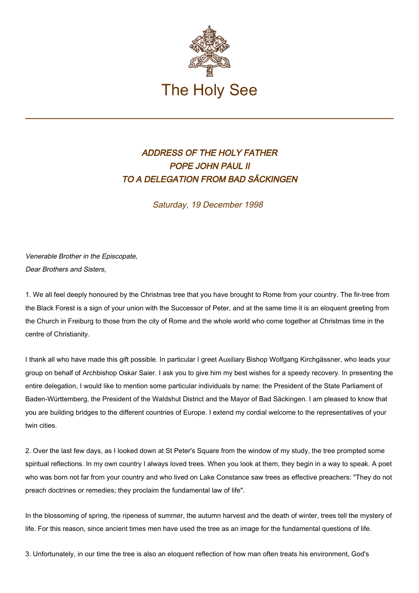

## ADDRESS OF THE HOLY FATHER POPE JOHN PAUL II TO A DELEGATION FROM BAD SÄCKINGEN

Saturday, 19 December 1998

Venerable Brother in the Episcopate, Dear Brothers and Sisters,

1. We all feel deeply honoured by the Christmas tree that you have brought to Rome from your country. The fir-tree from the Black Forest is a sign of your union with the Successor of Peter, and at the same time it is an eloquent greeting from the Church in Freiburg to those from the city of Rome and the whole world who come together at Christmas time in the centre of Christianity.

I thank all who have made this gift possible. In particular I greet Auxiliary Bishop Wolfgang Kirchgässner, who leads your group on behalf of Archbishop Oskar Saier. I ask you to give him my best wishes for a speedy recovery. In presenting the entire delegation, I would like to mention some particular individuals by name: the President of the State Parliament of Baden-Württemberg, the President of the Waldshut District and the Mayor of Bad Säckingen. I am pleased to know that you are building bridges to the different countries of Europe. I extend my cordial welcome to the representatives of your twin cities.

2. Over the last few days, as I looked down at St Peter's Square from the window of my study, the tree prompted some spiritual reflections. In my own country I always loved trees. When you look at them, they begin in a way to speak. A poet who was born not far from your country and who lived on Lake Constance saw trees as effective preachers: "They do not preach doctrines or remedies; they proclaim the fundamental law of life".

In the blossoming of spring, the ripeness of summer, the autumn harvest and the death of winter, trees tell the mystery of life. For this reason, since ancient times men have used the tree as an image for the fundamental questions of life.

3. Unfortunately, in our time the tree is also an eloquent reflection of how man often treats his environment, God's